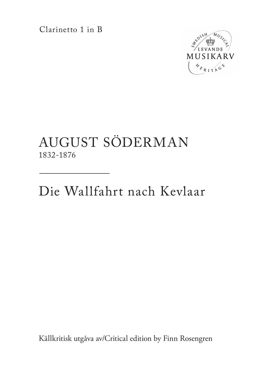Clarinetto 1 in B



## AUGUST SÖDERMAN 1832-1876

Die Wallfahrt nach Kevlaar

Källkritisk utgåva av/Critical edition by Finn Rosengren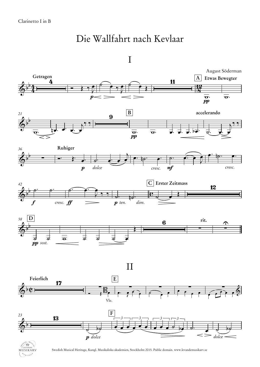## Die Wallfahrt nach Kevlaar





Swedish Musical Heritage, Kungl. Musikaliska akademien, Stockholm 2015. Public domain. www.levandemusikarv.se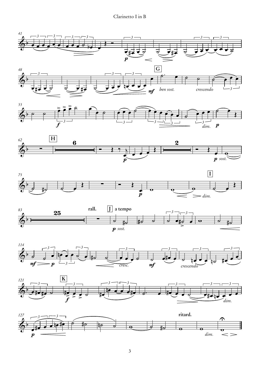## Clarinetto I in B